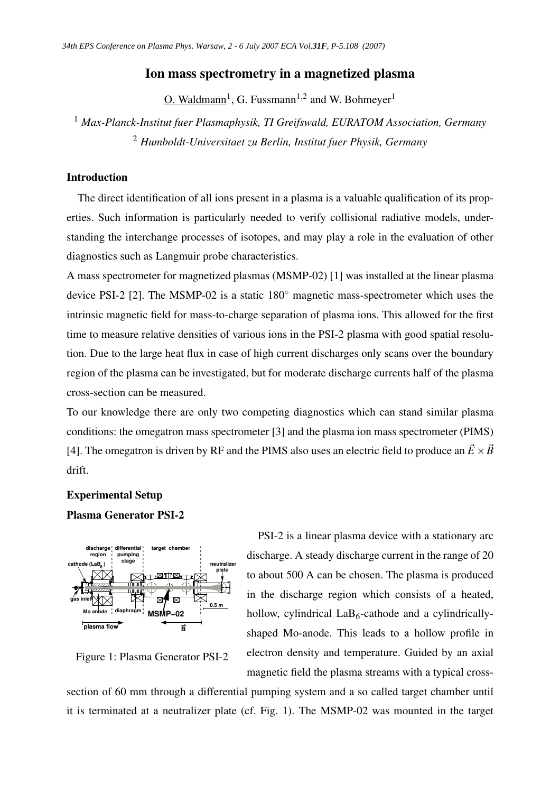## Ion mass spectrometry in a magnetized plasma

 $O.$  Waldmann<sup>1</sup>, G. Fussmann<sup>1,2</sup> and W. Bohmeyer<sup>1</sup>

<sup>1</sup> *Max-Planck-Institut fuer Plasmaphysik, TI Greifswald, EURATOM Association, Germany* <sup>2</sup> *Humboldt-Universitaet zu Berlin, Institut fuer Physik, Germany*

### Introduction

The direct identification of all ions present in a plasma is a valuable qualification of its properties. Such information is particularly needed to verify collisional radiative models, understanding the interchange processes of isotopes, and may play a role in the evaluation of other diagnostics such as Langmuir probe characteristics.

A mass spectrometer for magnetized plasmas (MSMP-02) [1] was installed at the linear plasma device PSI-2 [2]. The MSMP-02 is a static 180◦ magnetic mass-spectrometer which uses the intrinsic magnetic field for mass-to-charge separation of plasma ions. This allowed for the first time to measure relative densities of various ions in the PSI-2 plasma with good spatial resolution. Due to the large heat flux in case of high current discharges only scans over the boundary region of the plasma can be investigated, but for moderate discharge currents half of the plasma cross-section can be measured.

To our knowledge there are only two competing diagnostics which can stand similar plasma conditions: the omegatron mass spectrometer [3] and the plasma ion mass spectrometer (PIMS) [4]. The omegatron is driven by RF and the PIMS also uses an electric field to produce an  $\vec{E} \times \vec{B}$ drift.

# Experimental Setup

# Plasma Generator PSI-2



Figure 1: Plasma Generator PSI-2

PSI-2 is a linear plasma device with a stationary arc discharge. A steady discharge current in the range of 20 to about 500 A can be chosen. The plasma is produced in the discharge region which consists of a heated, hollow, cylindrical  $LaB<sub>6</sub>$ -cathode and a cylindricallyshaped Mo-anode. This leads to a hollow profile in electron density and temperature. Guided by an axial magnetic field the plasma streams with a typical cross-

section of 60 mm through a differential pumping system and a so called target chamber until it is terminated at a neutralizer plate (cf. Fig. 1). The MSMP-02 was mounted in the target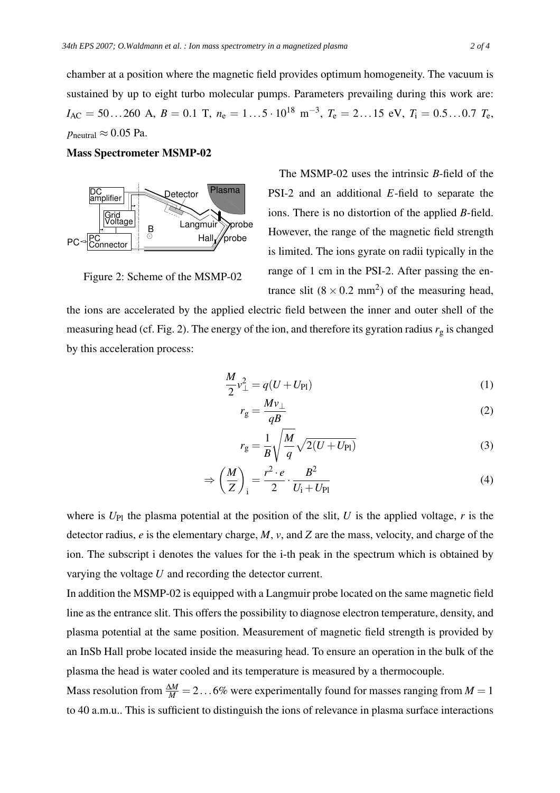chamber at a position where the magnetic field provides optimum homogeneity. The vacuum is sustained by up to eight turbo molecular pumps. Parameters prevailing during this work are:  $I_{AC} = 50...260$  A,  $B = 0.1$  T,  $n_e = 1...5 \cdot 10^{18}$  m<sup>-3</sup>,  $T_e = 2...15$  eV,  $T_i = 0.5...0.7$   $T_e$ ,  $p_{\text{neutral}} \approx 0.05 \text{ Pa}.$ 

Mass Spectrometer MSMP-02



Figure 2: Scheme of the MSMP-02

The MSMP-02 uses the intrinsic *B*-field of the PSI-2 and an additional *E*-field to separate the ions. There is no distortion of the applied *B*-field. However, the range of the magnetic field strength is limited. The ions gyrate on radii typically in the range of 1 cm in the PSI-2. After passing the entrance slit  $(8 \times 0.2 \text{ mm}^2)$  of the measuring head,

the ions are accelerated by the applied electric field between the inner and outer shell of the measuring head (cf. Fig. 2). The energy of the ion, and therefore its gyration radius *r*<sup>g</sup> is changed by this acceleration process:

$$
\frac{M}{2}v_{\perp}^{2} = q(U + U_{\text{Pl}})
$$
\n(1)

$$
r_{g} = \frac{Mv_{\perp}}{qB} \tag{2}
$$

$$
r_{g} = \frac{1}{B} \sqrt{\frac{M}{q}} \sqrt{2(U + U_{\text{Pl}})}
$$
\n(3)

$$
\Rightarrow \left(\frac{M}{Z}\right)_i = \frac{r^2 \cdot e}{2} \cdot \frac{B^2}{U_i + U_{Pl}}\tag{4}
$$

where is  $U_{\text{Pl}}$  the plasma potential at the position of the slit, *U* is the applied voltage, *r* is the detector radius, *e* is the elementary charge, *M*, *v*, and *Z* are the mass, velocity, and charge of the ion. The subscript i denotes the values for the i-th peak in the spectrum which is obtained by varying the voltage *U* and recording the detector current.

In addition the MSMP-02 is equipped with a Langmuir probe located on the same magnetic field line as the entrance slit. This offers the possibility to diagnose electron temperature, density, and plasma potential at the same position. Measurement of magnetic field strength is provided by an InSb Hall probe located inside the measuring head. To ensure an operation in the bulk of the plasma the head is water cooled and its temperature is measured by a thermocouple.

Mass resolution from  $\frac{\Delta M}{M}$  = 2...6% were experimentally found for masses ranging from *M* = 1 to 40 a.m.u.. This is sufficient to distinguish the ions of relevance in plasma surface interactions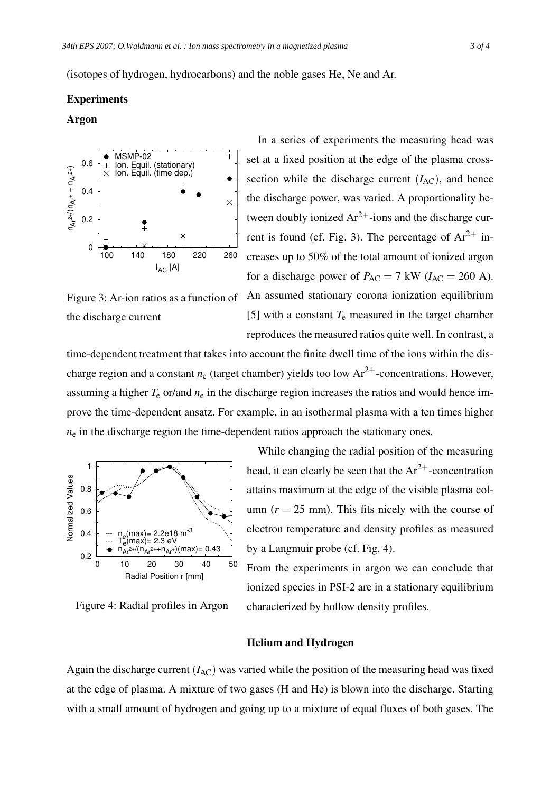### Experiments

## Argon



In a series of experiments the measuring head was set at a fixed position at the edge of the plasma crosssection while the discharge current  $(I<sub>AC</sub>)$ , and hence the discharge power, was varied. A proportionality between doubly ionized  $Ar^{2+}$ -ions and the discharge current is found (cf. Fig. 3). The percentage of  $Ar^{2+}$  increases up to 50% of the total amount of ionized argon for a discharge power of  $P_{AC} = 7$  kW ( $I_{AC} = 260$  A). An assumed stationary corona ionization equilibrium [5] with a constant  $T_e$  measured in the target chamber reproduces the measured ratios quite well. In contrast, a

Figure 3: Ar-ion ratios as a function of the discharge current

time-dependent treatment that takes into account the finite dwell time of the ions within the discharge region and a constant  $n_e$  (target chamber) yields too low  $Ar^{2+}$ -concentrations. However, assuming a higher  $T_e$  or/and  $n_e$  in the discharge region increases the ratios and would hence improve the time-dependent ansatz. For example, in an isothermal plasma with a ten times higher  $n_e$  in the discharge region the time-dependent ratios approach the stationary ones.



Figure 4: Radial profiles in Argon

While changing the radial position of the measuring head, it can clearly be seen that the  $Ar^{2+}$ -concentration attains maximum at the edge of the visible plasma column  $(r = 25$  mm). This fits nicely with the course of electron temperature and density profiles as measured by a Langmuir probe (cf. Fig. 4).

From the experiments in argon we can conclude that ionized species in PSI-2 are in a stationary equilibrium characterized by hollow density profiles.

#### Helium and Hydrogen

Again the discharge current  $(I_{AC})$  was varied while the position of the measuring head was fixed at the edge of plasma. A mixture of two gases (H and He) is blown into the discharge. Starting with a small amount of hydrogen and going up to a mixture of equal fluxes of both gases. The